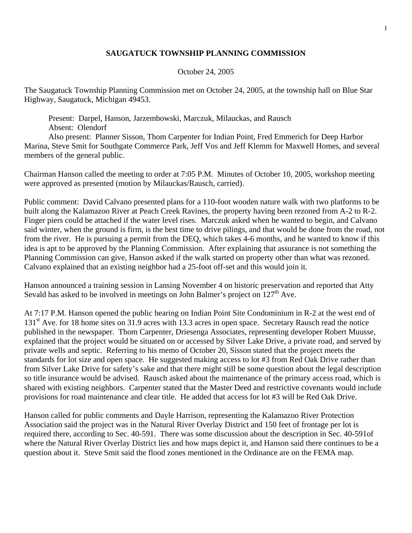## **SAUGATUCK TOWNSHIP PLANNING COMMISSION**

## October 24, 2005

The Saugatuck Township Planning Commission met on October 24, 2005, at the township hall on Blue Star Highway, Saugatuck, Michigan 49453.

 Present: Darpel, Hanson, Jarzembowski, Marczuk, Milauckas, and Rausch Absent: Olendorf

 Also present: Planner Sisson, Thom Carpenter for Indian Point, Fred Emmerich for Deep Harbor Marina, Steve Smit for Southgate Commerce Park, Jeff Vos and Jeff Klemm for Maxwell Homes, and several members of the general public.

Chairman Hanson called the meeting to order at 7:05 P.M. Minutes of October 10, 2005, workshop meeting were approved as presented (motion by Milauckas/Rausch, carried).

Public comment: David Calvano presented plans for a 110-foot wooden nature walk with two platforms to be built along the Kalamazoo River at Peach Creek Ravines, the property having been rezoned from A-2 to R-2. Finger piers could be attached if the water level rises. Marczuk asked when he wanted to begin, and Calvano said winter, when the ground is firm, is the best time to drive pilings, and that would be done from the road, not from the river. He is pursuing a permit from the DEQ, which takes 4-6 months, and he wanted to know if this idea is apt to be approved by the Planning Commission. After explaining that assurance is not something the Planning Commission can give, Hanson asked if the walk started on property other than what was rezoned. Calvano explained that an existing neighbor had a 25-foot off-set and this would join it.

Hanson announced a training session in Lansing November 4 on historic preservation and reported that Atty Sevald has asked to be involved in meetings on John Balmer's project on  $127<sup>th</sup>$  Ave.

At 7:17 P.M. Hanson opened the public hearing on Indian Point Site Condominium in R-2 at the west end of 131<sup>st</sup> Ave. for 18 home sites on 31.9 acres with 13.3 acres in open space. Secretary Rausch read the notice published in the newspaper. Thom Carpenter, Driesenga Associates, representing developer Robert Muusse, explained that the project would be situated on or accessed by Silver Lake Drive, a private road, and served by private wells and septic. Referring to his memo of October 20, Sisson stated that the project meets the standards for lot size and open space. He suggested making access to lot #3 from Red Oak Drive rather than from Silver Lake Drive for safety's sake and that there might still be some question about the legal description so title insurance would be advised. Rausch asked about the maintenance of the primary access road, which is shared with existing neighbors. Carpenter stated that the Master Deed and restrictive covenants would include provisions for road maintenance and clear title. He added that access for lot #3 will be Red Oak Drive.

Hanson called for public comments and Dayle Harrison, representing the Kalamazoo River Protection Association said the project was in the Natural River Overlay District and 150 feet of frontage per lot is required there, according to Sec. 40-591. There was some discussion about the description in Sec. 40-591of where the Natural River Overlay District lies and how maps depict it, and Hanson said there continues to be a question about it. Steve Smit said the flood zones mentioned in the Ordinance are on the FEMA map.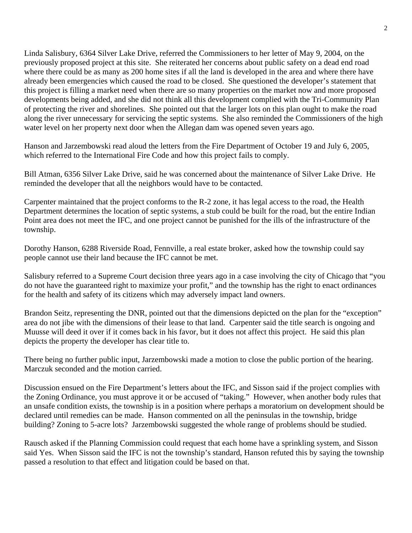Linda Salisbury, 6364 Silver Lake Drive, referred the Commissioners to her letter of May 9, 2004, on the previously proposed project at this site. She reiterated her concerns about public safety on a dead end road where there could be as many as 200 home sites if all the land is developed in the area and where there have already been emergencies which caused the road to be closed. She questioned the developer's statement that this project is filling a market need when there are so many properties on the market now and more proposed developments being added, and she did not think all this development complied with the Tri-Community Plan of protecting the river and shorelines. She pointed out that the larger lots on this plan ought to make the road along the river unnecessary for servicing the septic systems. She also reminded the Commissioners of the high water level on her property next door when the Allegan dam was opened seven years ago.

Hanson and Jarzembowski read aloud the letters from the Fire Department of October 19 and July 6, 2005, which referred to the International Fire Code and how this project fails to comply.

Bill Atman, 6356 Silver Lake Drive, said he was concerned about the maintenance of Silver Lake Drive. He reminded the developer that all the neighbors would have to be contacted.

Carpenter maintained that the project conforms to the R-2 zone, it has legal access to the road, the Health Department determines the location of septic systems, a stub could be built for the road, but the entire Indian Point area does not meet the IFC, and one project cannot be punished for the ills of the infrastructure of the township.

Dorothy Hanson, 6288 Riverside Road, Fennville, a real estate broker, asked how the township could say people cannot use their land because the IFC cannot be met.

Salisbury referred to a Supreme Court decision three years ago in a case involving the city of Chicago that "you do not have the guaranteed right to maximize your profit," and the township has the right to enact ordinances for the health and safety of its citizens which may adversely impact land owners.

Brandon Seitz, representing the DNR, pointed out that the dimensions depicted on the plan for the "exception" area do not jibe with the dimensions of their lease to that land. Carpenter said the title search is ongoing and Muusse will deed it over if it comes back in his favor, but it does not affect this project. He said this plan depicts the property the developer has clear title to.

There being no further public input, Jarzembowski made a motion to close the public portion of the hearing. Marczuk seconded and the motion carried.

Discussion ensued on the Fire Department's letters about the IFC, and Sisson said if the project complies with the Zoning Ordinance, you must approve it or be accused of "taking." However, when another body rules that an unsafe condition exists, the township is in a position where perhaps a moratorium on development should be declared until remedies can be made. Hanson commented on all the peninsulas in the township, bridge building? Zoning to 5-acre lots? Jarzembowski suggested the whole range of problems should be studied.

Rausch asked if the Planning Commission could request that each home have a sprinkling system, and Sisson said Yes. When Sisson said the IFC is not the township's standard, Hanson refuted this by saying the township passed a resolution to that effect and litigation could be based on that.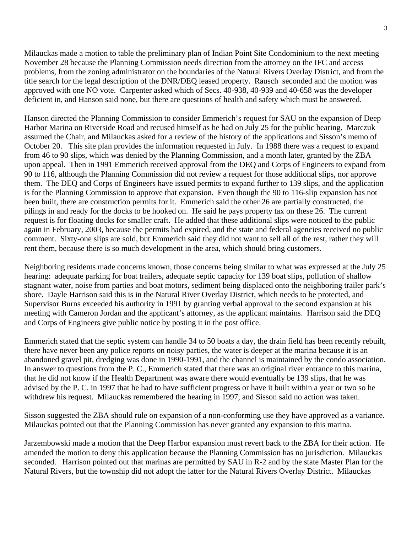Milauckas made a motion to table the preliminary plan of Indian Point Site Condominium to the next meeting November 28 because the Planning Commission needs direction from the attorney on the IFC and access problems, from the zoning administrator on the boundaries of the Natural Rivers Overlay District, and from the title search for the legal description of the DNR/DEQ leased property. Rausch seconded and the motion was approved with one NO vote. Carpenter asked which of Secs. 40-938, 40-939 and 40-658 was the developer deficient in, and Hanson said none, but there are questions of health and safety which must be answered.

Hanson directed the Planning Commission to consider Emmerich's request for SAU on the expansion of Deep Harbor Marina on Riverside Road and recused himself as he had on July 25 for the public hearing. Marczuk assumed the Chair, and Milauckas asked for a review of the history of the applications and Sisson's memo of October 20. This site plan provides the information requested in July. In 1988 there was a request to expand from 46 to 90 slips, which was denied by the Planning Commission, and a month later, granted by the ZBA upon appeal. Then in 1991 Emmerich received approval from the DEQ and Corps of Engineers to expand from 90 to 116, although the Planning Commission did not review a request for those additional slips, nor approve them. The DEQ and Corps of Engineers have issued permits to expand further to 139 slips, and the application is for the Planning Commission to approve that expansion. Even though the 90 to 116-slip expansion has not been built, there are construction permits for it. Emmerich said the other 26 are partially constructed, the pilings in and ready for the docks to be hooked on. He said he pays property tax on these 26. The current request is for floating docks for smaller craft. He added that these additional slips were noticed to the public again in February, 2003, because the permits had expired, and the state and federal agencies received no public comment. Sixty-one slips are sold, but Emmerich said they did not want to sell all of the rest, rather they will rent them, because there is so much development in the area, which should bring customers.

Neighboring residents made concerns known, those concerns being similar to what was expressed at the July 25 hearing: adequate parking for boat trailers, adequate septic capacity for 139 boat slips, pollution of shallow stagnant water, noise from parties and boat motors, sediment being displaced onto the neighboring trailer park's shore. Dayle Harrison said this is in the Natural River Overlay District, which needs to be protected, and Supervisor Burns exceeded his authority in 1991 by granting verbal approval to the second expansion at his meeting with Cameron Jordan and the applicant's attorney, as the applicant maintains. Harrison said the DEQ and Corps of Engineers give public notice by posting it in the post office.

Emmerich stated that the septic system can handle 34 to 50 boats a day, the drain field has been recently rebuilt, there have never been any police reports on noisy parties, the water is deeper at the marina because it is an abandoned gravel pit, dredging was done in 1990-1991, and the channel is maintained by the condo association. In answer to questions from the P. C., Emmerich stated that there was an original river entrance to this marina, that he did not know if the Health Department was aware there would eventually be 139 slips, that he was advised by the P. C. in 1997 that he had to have sufficient progress or have it built within a year or two so he withdrew his request. Milauckas remembered the hearing in 1997, and Sisson said no action was taken.

Sisson suggested the ZBA should rule on expansion of a non-conforming use they have approved as a variance. Milauckas pointed out that the Planning Commission has never granted any expansion to this marina.

Jarzembowski made a motion that the Deep Harbor expansion must revert back to the ZBA for their action. He amended the motion to deny this application because the Planning Commission has no jurisdiction. Milauckas seconded. Harrison pointed out that marinas are permitted by SAU in R-2 and by the state Master Plan for the Natural Rivers, but the township did not adopt the latter for the Natural Rivers Overlay District. Milauckas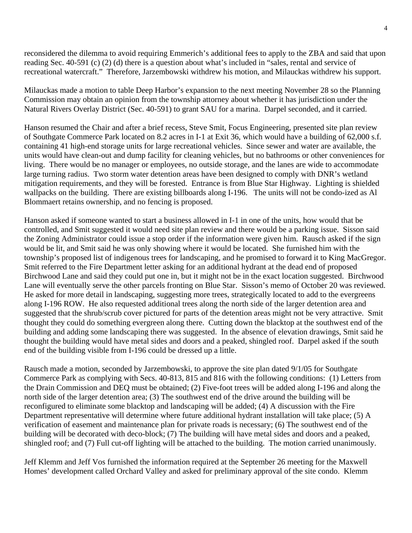reconsidered the dilemma to avoid requiring Emmerich's additional fees to apply to the ZBA and said that upon reading Sec. 40-591 (c) (2) (d) there is a question about what's included in "sales, rental and service of recreational watercraft." Therefore, Jarzembowski withdrew his motion, and Milauckas withdrew his support.

Milauckas made a motion to table Deep Harbor's expansion to the next meeting November 28 so the Planning Commission may obtain an opinion from the township attorney about whether it has jurisdiction under the Natural Rivers Overlay District (Sec. 40-591) to grant SAU for a marina. Darpel seconded, and it carried.

Hanson resumed the Chair and after a brief recess, Steve Smit, Focus Engineering, presented site plan review of Southgate Commerce Park located on 8.2 acres in I-1 at Exit 36, which would have a building of 62,000 s.f. containing 41 high-end storage units for large recreational vehicles. Since sewer and water are available, the units would have clean-out and dump facility for cleaning vehicles, but no bathrooms or other conveniences for living. There would be no manager or employees, no outside storage, and the lanes are wide to accommodate large turning radius. Two storm water detention areas have been designed to comply with DNR's wetland mitigation requirements, and they will be forested. Entrance is from Blue Star Highway. Lighting is shielded wallpacks on the building. There are existing billboards along I-196. The units will not be condo-ized as Al Blommaert retains ownership, and no fencing is proposed.

Hanson asked if someone wanted to start a business allowed in I-1 in one of the units, how would that be controlled, and Smit suggested it would need site plan review and there would be a parking issue. Sisson said the Zoning Administrator could issue a stop order if the information were given him. Rausch asked if the sign would be lit, and Smit said he was only showing where it would be located. She furnished him with the township's proposed list of indigenous trees for landscaping, and he promised to forward it to King MacGregor. Smit referred to the Fire Department letter asking for an additional hydrant at the dead end of proposed Birchwood Lane and said they could put one in, but it might not be in the exact location suggested. Birchwood Lane will eventually serve the other parcels fronting on Blue Star. Sisson's memo of October 20 was reviewed. He asked for more detail in landscaping, suggesting more trees, strategically located to add to the evergreens along I-196 ROW. He also requested additional trees along the north side of the larger detention area and suggested that the shrub/scrub cover pictured for parts of the detention areas might not be very attractive. Smit thought they could do something evergreen along there. Cutting down the blacktop at the southwest end of the building and adding some landscaping there was suggested. In the absence of elevation drawings, Smit said he thought the building would have metal sides and doors and a peaked, shingled roof. Darpel asked if the south end of the building visible from I-196 could be dressed up a little.

Rausch made a motion, seconded by Jarzembowski, to approve the site plan dated 9/1/05 for Southgate Commerce Park as complying with Secs. 40-813, 815 and 816 with the following conditions: (1) Letters from the Drain Commission and DEQ must be obtained; (2) Five-foot trees will be added along I-196 and along the north side of the larger detention area; (3) The southwest end of the drive around the building will be reconfigured to eliminate some blacktop and landscaping will be added; (4) A discussion with the Fire Department representative will determine where future additional hydrant installation will take place; (5) A verification of easement and maintenance plan for private roads is necessary; (6) The southwest end of the building will be decorated with deco-block; (7) The building will have metal sides and doors and a peaked, shingled roof; and (7) Full cut-off lighting will be attached to the building. The motion carried unanimously.

Jeff Klemm and Jeff Vos furnished the information required at the September 26 meeting for the Maxwell Homes' development called Orchard Valley and asked for preliminary approval of the site condo. Klemm